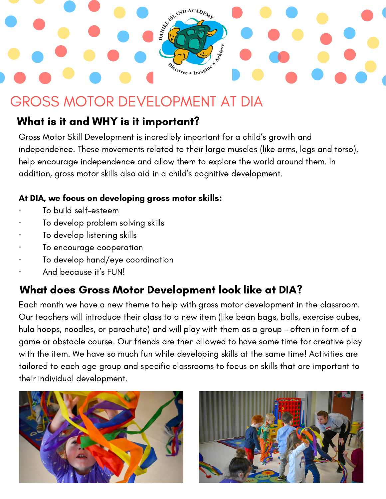# ASIAND ACADEMY Scover . Imagine

## GROSS MOTOR DEVELOPMENT AT DIA

#### What is it and WHY is it important?

Gross Motor Skill Development is incredibly important for a child's growth and independence. These movements related to their large muscles (like arms, legs and torso), help encourage independence and allow them to explore the world around them. In addition, gross motor skills also aid in a child's cognitive development.

#### At DIA, we focus on developing gross motor skills:

- · To build self-esteem
- To develop problem solving skills
- To develop listening skills
- To encourage cooperation
- · To develop hand/eye coordination
- And because it's FUN!

## What does Gross Motor Development look like at DIA?

Each month we have a new theme to help with gross motor development in the classroom. Our teachers will introduce their class to a new item (like bean bags, balls, exercise cubes, hula hoops, noodles, or parachute) and will play with them as a group – often in form of a game or obstacle course. Our friends are then allowed to have some time for creative play with the item. We have so much fun while developing skills at the same time! Activities are tailored to each age group and specific classrooms to focus on skills that are important to their individual development.



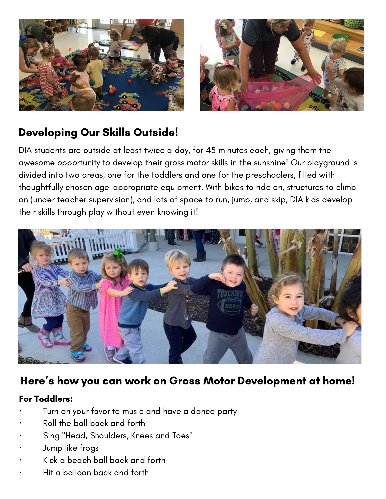

#### Developing Our Skills Outside!

DIA students are outside at least twice a day, for 45 minutes each, giving them the awesome opportunity to develop their gross motor skills in the sunshine! Our playground is divided into two areas, one for the toddlers and one for the preschoolers, filled with thoughtfully chosen age-appropriate equipment. With bikes to ride on, structures to climb on (under teacher supervision), and lots of space to run, jump, and skip, DIA kids develop their skills through play without even knowing it!



#### Here ' s how you can work on Gross Motor Development at home!

#### For Toddlers:

- Turn on your favorite music and have a dance party
- Roll the ball back and forth
- · Sing "Head, [Shoulders,](https://www.naeyc.org/resources/blog/moving-and-grooving-infants-and-toddlers) Knees and Toes"
- Jump like frogs
- · Kick a beach ball back and forth
- · Hit a balloon back and forth